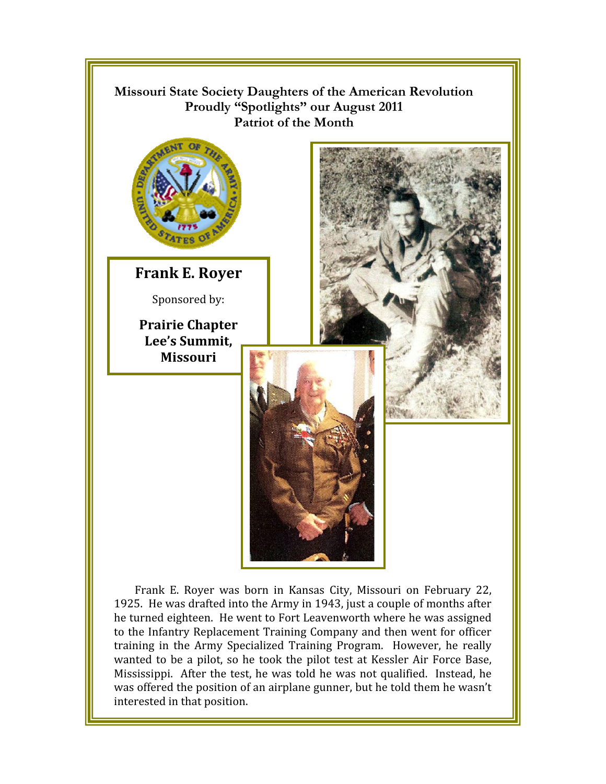

he turned eighteen. He went to Fort Leavenworth where he was assigned to the Infantry Replacement Training Company and then went for officer training in the Army Specialized Training Program. However, he really wanted to be a pilot, so he took the pilot test at Kessler Air Force Base, Mississippi. After the test, he was told he was not qualified. Instead, he was offered the position of an airplane gunner, but he told them he wasn't interested in that position.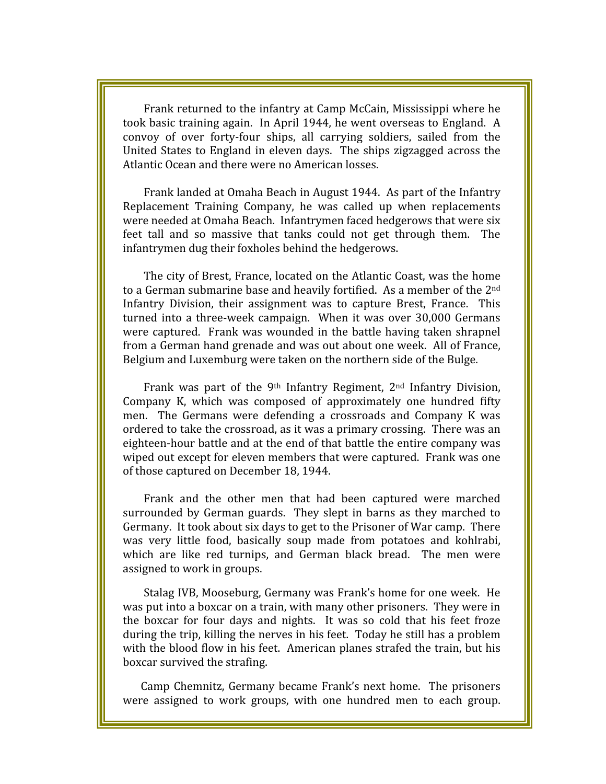Frank returned to the infantry at Camp McCain, Mississippi where he took basic training again. In April 1944, he went overseas to England. A convoy of over forty-four ships, all carrying soldiers, sailed from the United States to England in eleven days. The ships zigzagged across the Atlantic Ocean and there were no American losses.

Frank landed at Omaha Beach in August 1944. As part of the Infantry Replacement Training Company, he was called up when replacements were needed at Omaha Beach. Infantrymen faced hedgerows that were six feet tall and so massive that tanks could not get through them. The infantrymen dug their foxholes behind the hedgerows.

The city of Brest, France, located on the Atlantic Coast, was the home to a German submarine base and heavily fortified. As a member of the 2<sup>nd</sup> Infantry Division, their assignment was to capture Brest, France. This turned into a three-week campaign. When it was over 30,000 Germans were captured. Frank was wounded in the battle having taken shrapnel from a German hand grenade and was out about one week. All of France, Belgium and Luxemburg were taken on the northern side of the Bulge.

Frank was part of the 9<sup>th</sup> Infantry Regiment, 2<sup>nd</sup> Infantry Division, Company K, which was composed of approximately one hundred fifty men. The Germans were defending a crossroads and Company K was ordered to take the crossroad, as it was a primary crossing. There was an eighteen-hour battle and at the end of that battle the entire company was wiped out except for eleven members that were captured. Frank was one of those captured on December 18, 1944.

Frank and the other men that had been captured were marched surrounded by German guards. They slept in barns as they marched to Germany. It took about six days to get to the Prisoner of War camp. There was very little food, basically soup made from potatoes and kohlrabi, which are like red turnips, and German black bread. The men were assigned to work in groups.

Stalag IVB, Mooseburg, Germany was Frank's home for one week. He was put into a boxcar on a train, with many other prisoners. They were in the boxcar for four days and nights. It was so cold that his feet froze during the trip, killing the nerves in his feet. Today he still has a problem with the blood flow in his feet. American planes strafed the train, but his boxcar survived the strafing.

Camp Chemnitz, Germany became Frank's next home. The prisoners were assigned to work groups, with one hundred men to each group.